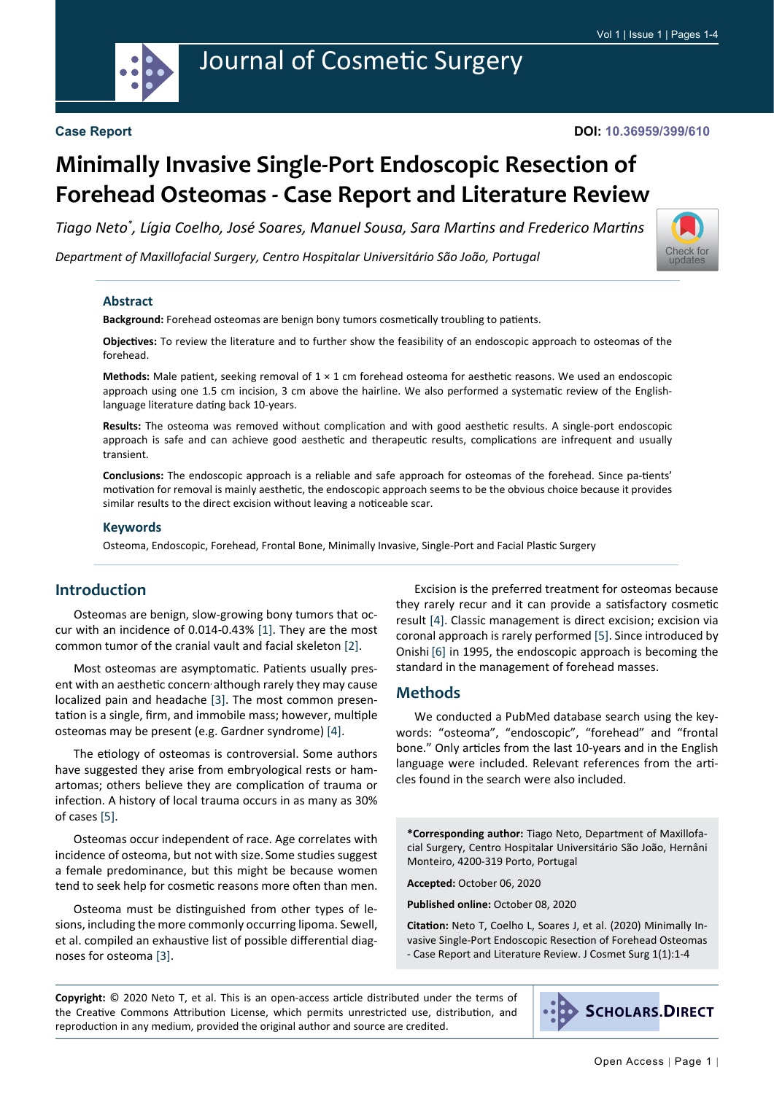

#### **DOI: 10.36959/399/610**

# **Minimally Invasive Single-Port Endoscopic Resection of Forehead Osteomas - Case Report and Literature Review**

*Tiago Neto\* , Lígia Coelho, José Soares, Manuel Sousa, Sara Martins and Frederico Martins*

*Department of Maxillofacial Surgery, Centro Hospitalar Universitário São João, Portugal*



#### **Abstract**

**Background:** Forehead osteomas are benign bony tumors cosmetically troubling to patients.

**Objectives:** To review the literature and to further show the feasibility of an endoscopic approach to osteomas of the forehead.

**Methods:** Male patient, seeking removal of 1 × 1 cm forehead osteoma for aesthetic reasons. We used an endoscopic approach using one 1.5 cm incision, 3 cm above the hairline. We also performed a systematic review of the Englishlanguage literature dating back 10-years.

**Results:** The osteoma was removed without complication and with good aesthetic results. A single-port endoscopic approach is safe and can achieve good aesthetic and therapeutic results, complications are infrequent and usually transient.

**Conclusions:** The endoscopic approach is a reliable and safe approach for osteomas of the forehead. Since pa-tients' motivation for removal is mainly aesthetic, the endoscopic approach seems to be the obvious choice because it provides similar results to the direct excision without leaving a noticeable scar.

#### **Keywords**

Osteoma, Endoscopic, Forehead, Frontal Bone, Minimally Invasive, Single-Port and Facial Plastic Surgery

## **Introduction**

Osteomas are benign, slow-growing bony tumors that occur with an incidence of 0.014-0.43% [[1\]](#page-2-0). They are the most common tumor of the cranial vault and facial skeleton [[2\]](#page-2-1).

Most osteomas are asymptomatic. Patients usually present with an aesthetic concern although rarely they may cause localized pain and headache [\[3](#page-2-2)]. The most common presentation is a single, firm, and immobile mass; however, multiple osteomas may be present (e.g. Gardner syndrome) [[4\]](#page-2-3).

The etiology of osteomas is controversial. Some authors have suggested they arise from embryological rests or hamartomas; others believe they are complication of trauma or infection. A history of local trauma occurs in as many as 30% of cases [\[5](#page-3-0)].

Osteomas occur independent of race. Age correlates with incidence of osteoma, but not with size. Some studies suggest a female predominance, but this might be because women tend to seek help for cosmetic reasons more often than men.

Osteoma must be distinguished from other types of lesions, including the more commonly occurring lipoma. Sewell, et al. compiled an exhaustive list of possible differential diagnoses for osteoma [\[3](#page-2-2)].

Excision is the preferred treatment for osteomas because they rarely recur and it can provide a satisfactory cosmetic result [[4\]](#page-2-3). Classic management is direct excision; excision via coronal approach is rarely performed [\[5](#page-3-0)]. Since introduced by Onishi [\[6](#page-3-1)] in 1995, the endoscopic approach is becoming the standard in the management of forehead masses.

#### **Methods**

We conducted a PubMed database search using the keywords: "osteoma", "endoscopic", "forehead" and "frontal bone." Only articles from the last 10-years and in the English language were included. Relevant references from the articles found in the search were also included.

**\*Corresponding author:** Tiago Neto, Department of Maxillofacial Surgery, Centro Hospitalar Universitário São João, Hernâni Monteiro, 4200-319 Porto, Portugal

**Accepted:** October 06, 2020

**Published online:** October 08, 2020

**Citation:** Neto T, Coelho L, Soares J, et al. (2020) Minimally Invasive Single-Port Endoscopic Resection of Forehead Osteomas - Case Report and Literature Review. J Cosmet Surg 1(1):1-4

**Copyright:** © 2020 Neto T, et al. This is an open-access article distributed under the terms of the Creative Commons Attribution License, which permits unrestricted use, distribution, and reproduction in any medium, provided the original author and source are credited.

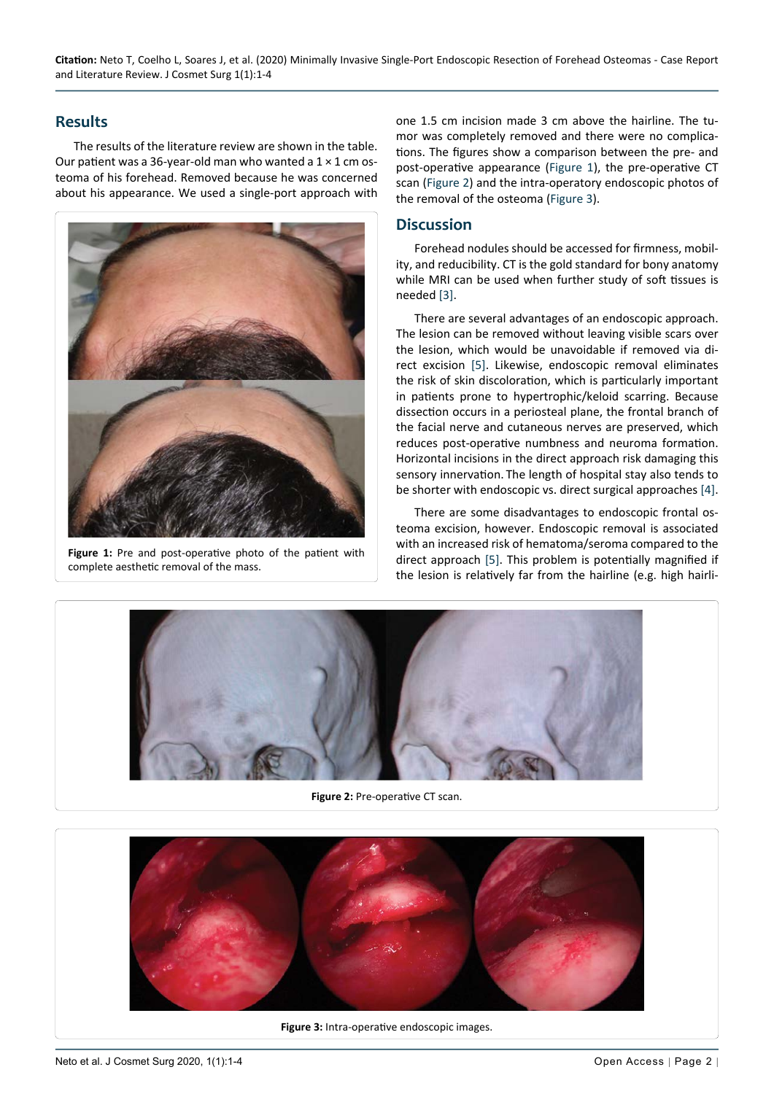## **Results**

<span id="page-1-1"></span>Ĩ

<span id="page-1-2"></span>Ī

The results of the literature review are shown in the table. Our patient was a 36-year-old man who wanted a  $1 \times 1$  cm osteoma of his forehead. Removed because he was concerned about his appearance. We used a single-port approach with

<span id="page-1-0"></span>

Figure 1: Pre and post-operative photo of the patient with complete aesthetic removal of the mass.

one 1.5 cm incision made 3 cm above the hairline. The tumor was completely removed and there were no complications. The figures show a comparison between the pre- and post-operative appearance ([Figure 1](#page-1-0)), the pre-operative CT scan [\(Figure 2](#page-1-1)) and the intra-operatory endoscopic photos of the removal of the osteoma [\(Figure 3](#page-1-2)).

## **Discussion**

Forehead nodules should be accessed for firmness, mobility, and reducibility. CT is the gold standard for bony anatomy while MRI can be used when further study of soft tissues is needed [[3\]](#page-2-2).

There are several advantages of an endoscopic approach. The lesion can be removed without leaving visible scars over the lesion, which would be unavoidable if removed via direct excision [[5\]](#page-3-0). Likewise, endoscopic removal eliminates the risk of skin discoloration, which is particularly important in patients prone to hypertrophic/keloid scarring. Because dissection occurs in a periosteal plane, the frontal branch of the facial nerve and cutaneous nerves are preserved, which reduces post-operative numbness and neuroma formation. Horizontal incisions in the direct approach risk damaging this sensory innervation. The length of hospital stay also tends to be shorter with endoscopic vs. direct surgical approaches [\[4](#page-2-3)].

There are some disadvantages to endoscopic frontal osteoma excision, however. Endoscopic removal is associated with an increased risk of hematoma/seroma compared to the direct approach [\[5](#page-3-0)]. This problem is potentially magnified if the lesion is relatively far from the hairline (e.g. high hairli-



**Figure 2:** Pre-operative CT scan.



**Figure 3:** Intra-operative endoscopic images.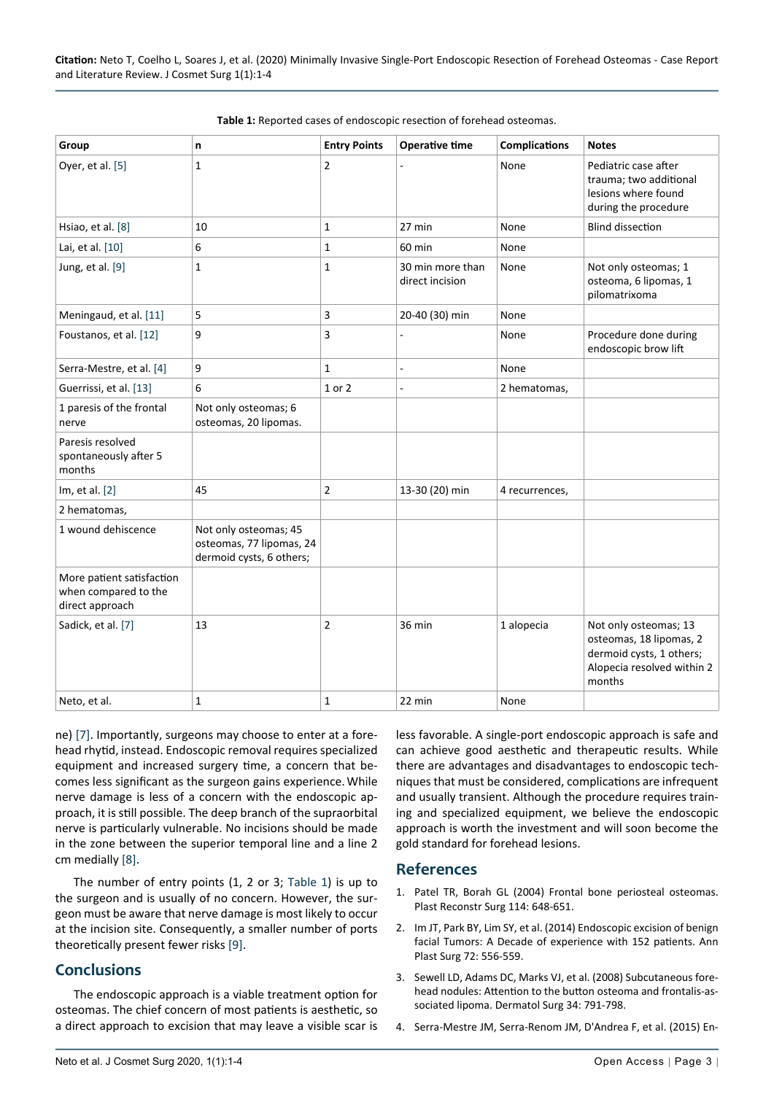| Group                                                                | n                                                                             | <b>Entry Points</b> | <b>Operative time</b>               | <b>Complications</b> | <b>Notes</b>                                                                                                         |
|----------------------------------------------------------------------|-------------------------------------------------------------------------------|---------------------|-------------------------------------|----------------------|----------------------------------------------------------------------------------------------------------------------|
| Oyer, et al. [5]                                                     | 1                                                                             | $\overline{2}$      |                                     | None                 | Pediatric case after<br>trauma; two additional<br>lesions where found<br>during the procedure                        |
| Hsiao, et al. [8]                                                    | 10                                                                            | 1                   | 27 min                              | None                 | <b>Blind dissection</b>                                                                                              |
| Lai, et al. [10]                                                     | 6                                                                             | 1                   | 60 min                              | None                 |                                                                                                                      |
| Jung, et al. [9]                                                     | 1                                                                             | 1                   | 30 min more than<br>direct incision | None                 | Not only osteomas; 1<br>osteoma, 6 lipomas, 1<br>pilomatrixoma                                                       |
| Meningaud, et al. [11]                                               | 5                                                                             | 3                   | 20-40 (30) min                      | None                 |                                                                                                                      |
| Foustanos, et al. [12]                                               | 9                                                                             | 3                   | ÷                                   | None                 | Procedure done during<br>endoscopic brow lift                                                                        |
| Serra-Mestre, et al. [4]                                             | 9                                                                             | 1                   | ÷                                   | None                 |                                                                                                                      |
| Guerrissi, et al. [13]                                               | 6                                                                             | 1 or 2              |                                     | 2 hematomas,         |                                                                                                                      |
| 1 paresis of the frontal<br>nerve                                    | Not only osteomas; 6<br>osteomas, 20 lipomas.                                 |                     |                                     |                      |                                                                                                                      |
| Paresis resolved<br>spontaneously after 5<br>months                  |                                                                               |                     |                                     |                      |                                                                                                                      |
| Im, et al. [2]                                                       | 45                                                                            | 2                   | 13-30 (20) min                      | 4 recurrences,       |                                                                                                                      |
| 2 hematomas,                                                         |                                                                               |                     |                                     |                      |                                                                                                                      |
| 1 wound dehiscence                                                   | Not only osteomas; 45<br>osteomas, 77 lipomas, 24<br>dermoid cysts, 6 others; |                     |                                     |                      |                                                                                                                      |
| More patient satisfaction<br>when compared to the<br>direct approach |                                                                               |                     |                                     |                      |                                                                                                                      |
| Sadick, et al. [7]                                                   | 13                                                                            | $\overline{2}$      | 36 min                              | 1 alopecia           | Not only osteomas; 13<br>osteomas, 18 lipomas, 2<br>dermoid cysts, 1 others;<br>Alopecia resolved within 2<br>months |
| Neto, et al.                                                         | 1                                                                             | 1                   | 22 min                              | None                 |                                                                                                                      |

<span id="page-2-4"></span>

ne) [\[7](#page-3-2)]. Importantly, surgeons may choose to enter at a forehead rhytid, instead. Endoscopic removal requires specialized equipment and increased surgery time, a concern that becomes less significant as the surgeon gains experience.While nerve damage is less of a concern with the endoscopic approach, it is still possible. The deep branch of the supraorbital nerve is particularly vulnerable. No incisions should be made in the zone between the superior temporal line and a line 2 cm medially [[8\]](#page-3-3).

The number of entry points (1, 2 or 3; [Table 1](#page-2-4)) is up to the surgeon and is usually of no concern. However, the surgeon must be aware that nerve damage is most likely to occur at the incision site. Consequently, a smaller number of ports theoretically present fewer risks [[9\]](#page-3-4).

## **Conclusions**

The endoscopic approach is a viable treatment option for osteomas. The chief concern of most patients is aesthetic, so a direct approach to excision that may leave a visible scar is less favorable. A single-port endoscopic approach is safe and can achieve good aesthetic and therapeutic results. While there are advantages and disadvantages to endoscopic techniques that must be considered, complications are infrequent and usually transient. Although the procedure requires training and specialized equipment, we believe the endoscopic approach is worth the investment and will soon become the gold standard for forehead lesions.

#### **References**

- <span id="page-2-0"></span>1. [Patel TR, Borah GL \(2004\) Frontal bone periosteal osteomas.](https://pubmed.ncbi.nlm.nih.gov/15318039/)  [Plast Reconstr Surg 114: 648-651.](https://pubmed.ncbi.nlm.nih.gov/15318039/)
- <span id="page-2-1"></span>2. [Im JT, Park BY, Lim SY, et al. \(2014\) Endoscopic excision of benign](https://pubmed.ncbi.nlm.nih.gov/23241793/)  [facial Tumors: A Decade of experience with 152 patients. Ann](https://pubmed.ncbi.nlm.nih.gov/23241793/)  [Plast Surg 72: 556-559.](https://pubmed.ncbi.nlm.nih.gov/23241793/)
- <span id="page-2-2"></span>3. [Sewell LD, Adams DC, Marks VJ, et al. \(2008\) Subcutaneous fore](https://pubmed.ncbi.nlm.nih.gov/18384374/)[head nodules: Attention to the button osteoma and frontalis-as](https://pubmed.ncbi.nlm.nih.gov/18384374/)[sociated lipoma. Dermatol Surg 34: 791-798.](https://pubmed.ncbi.nlm.nih.gov/18384374/)
- <span id="page-2-3"></span>4. [Serra-Mestre JM, Serra-Renom JM, D'Andrea F, et al. \(2015\) En](https://pubmed.ncbi.nlm.nih.gov/26113046/)-